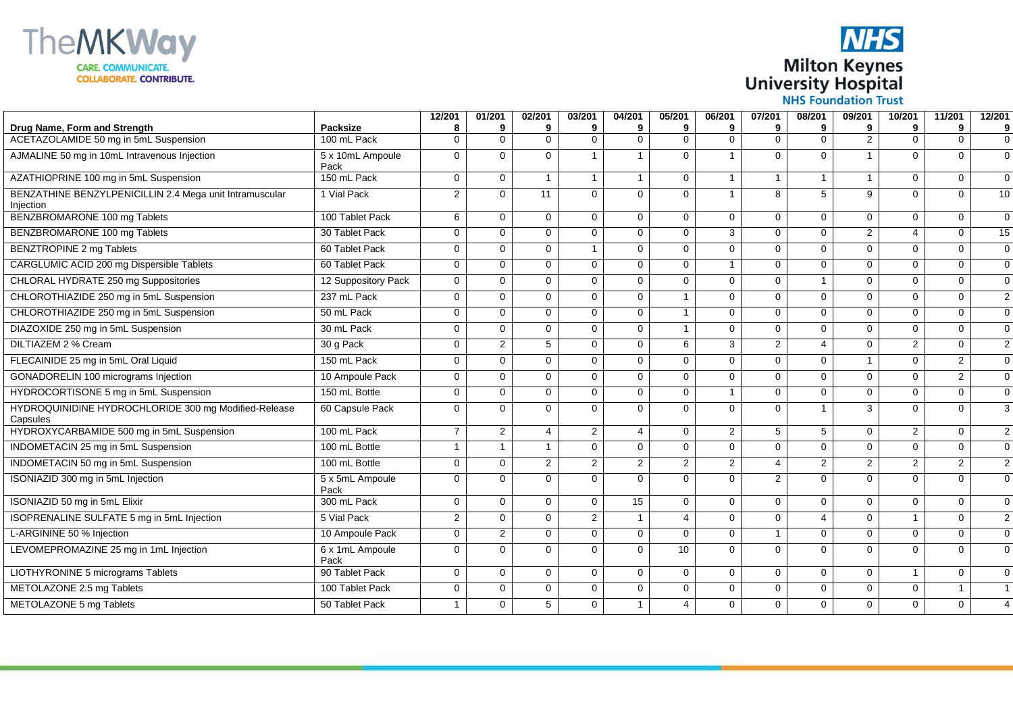



|                                                                       |                         | 12/201         | 01/201         | 02/201         | 03/201                  | 04/201            | 05/201         | 06/201         | 07/201         | 08/201         | 09/201         | 10/201         | 11/201         | 12/201         |
|-----------------------------------------------------------------------|-------------------------|----------------|----------------|----------------|-------------------------|-------------------|----------------|----------------|----------------|----------------|----------------|----------------|----------------|----------------|
| Drug Name, Form and Strength<br>ACETAZOLAMIDE 50 mg in 5mL Suspension | Packsize<br>100 mL Pack | 8<br>$\Omega$  | 9<br>$\Omega$  | 9<br>$\Omega$  | 9<br>$\Omega$           | 9<br>$\mathbf{0}$ | 9<br>$\Omega$  | 9<br>$\Omega$  | 9<br>$\Omega$  | 9<br>$\Omega$  | 9<br>2         | 9<br>$\Omega$  | 9<br>$\Omega$  | 9<br>$\Omega$  |
| AJMALINE 50 mg in 10mL Intravenous Injection                          | 5 x 10mL Ampoule        | $\Omega$       | $\Omega$       | $\Omega$       | $\overline{\mathbf{1}}$ |                   | $\Omega$       |                | $\Omega$       | $\Omega$       |                | $\Omega$       | $\Omega$       | $\Omega$       |
| AZATHIOPRINE 100 mg in 5mL Suspension                                 | Pack<br>150 mL Pack     | $\mathbf 0$    | $\mathbf{0}$   |                |                         | $\mathbf{1}$      | 0              |                |                |                |                | $\Omega$       | $\Omega$       | $\mathbf 0$    |
| BENZATHINE BENZYLPENICILLIN 2.4 Mega unit Intramuscular<br>Injection  | 1 Vial Pack             | $\overline{2}$ | $\Omega$       | 11             | $\Omega$                | $\mathbf{0}$      | $\mathbf 0$    | 1              | 8              | 5              | 9              | $\Omega$       | $\Omega$       | 10             |
| BENZBROMARONE 100 mg Tablets                                          | 100 Tablet Pack         | 6              | $\mathbf 0$    | $\mathbf 0$    | $\Omega$                | $\mathbf{0}$      | $\mathbf 0$    | $\Omega$       | $\mathbf 0$    | $\Omega$       | $\Omega$       | $\mathbf 0$    | $\Omega$       | $\Omega$       |
| BENZBROMARONE 100 mg Tablets                                          | 30 Tablet Pack          | $\Omega$       | $\Omega$       | $\mathbf 0$    | $\Omega$                | $\Omega$          | $\mathbf 0$    | 3              | $\Omega$       | $\Omega$       | $\overline{2}$ | $\overline{4}$ | $\Omega$       | 15             |
| <b>BENZTROPINE 2 mg Tablets</b>                                       | 60 Tablet Pack          | $\Omega$       | $\Omega$       | $\Omega$       | $\overline{\mathbf{1}}$ | $\Omega$          | $\Omega$       | $\Omega$       | $\Omega$       | $\Omega$       | $\Omega$       | $\Omega$       | $\Omega$       | $\Omega$       |
| CARGLUMIC ACID 200 mg Dispersible Tablets                             | 60 Tablet Pack          | 0              | $\mathbf{0}$   | $\mathbf 0$    | 0                       | $\mathbf{0}$      | 0              |                | $\Omega$       | $\Omega$       | $\Omega$       | $\mathbf 0$    | 0              | $\Omega$       |
| CHLORAL HYDRATE 250 mg Suppositories                                  | 12 Suppository Pack     | $\Omega$       | $\Omega$       | $\mathbf 0$    | $\Omega$                | $\mathbf 0$       | $\mathbf 0$    | $\Omega$       | $\mathbf 0$    | 1              | $\Omega$       | $\mathbf 0$    | $\mathbf 0$    | $\Omega$       |
| CHLOROTHIAZIDE 250 mg in 5mL Suspension                               | 237 mL Pack             | $\Omega$       | $\Omega$       | $\mathbf 0$    | $\Omega$                | $\mathbf{0}$      | $\mathbf{1}$   | $\Omega$       | $\Omega$       | $\Omega$       | $\Omega$       | $\Omega$       | $\Omega$       | $\overline{2}$ |
| CHLOROTHIAZIDE 250 mg in 5mL Suspension                               | 50 mL Pack              | $\Omega$       | $\Omega$       | $\Omega$       | $\Omega$                | $\Omega$          | $\mathbf{1}$   | $\Omega$       | $\Omega$       | $\Omega$       | $\Omega$       | $\Omega$       | $\Omega$       | $\Omega$       |
| DIAZOXIDE 250 mg in 5mL Suspension                                    | 30 mL Pack              | $\Omega$       | $\Omega$       | $\Omega$       | $\Omega$                | $\Omega$          | $\mathbf{1}$   | $\Omega$       | $\Omega$       | $\Omega$       | $\Omega$       | $\Omega$       | $\Omega$       | $\Omega$       |
| DILTIAZEM 2 % Cream                                                   | 30 g Pack               | $\mathbf 0$    | $\overline{2}$ | 5              | $\Omega$                | $\mathbf{0}$      | 6              | 3              | $\overline{2}$ | 4              | $\Omega$       | 2              | $\mathbf 0$    | $\overline{2}$ |
| FLECAINIDE 25 mg in 5mL Oral Liquid                                   | 150 mL Pack             | $\Omega$       | $\Omega$       | $\mathbf{0}$   | $\Omega$                | $\Omega$          | $\mathbf 0$    | $\Omega$       | $\Omega$       | $\Omega$       | $\mathbf{1}$   | $\Omega$       | $\overline{2}$ | $\Omega$       |
| GONADORELIN 100 micrograms Injection                                  | 10 Ampoule Pack         | $\Omega$       | $\Omega$       | $\Omega$       | $\Omega$                | $\Omega$          | $\Omega$       | $\Omega$       | $\Omega$       | $\Omega$       | $\Omega$       | $\Omega$       | $\overline{2}$ | $\Omega$       |
| HYDROCORTISONE 5 mg in 5mL Suspension                                 | 150 mL Bottle           | $\mathbf 0$    | $\mathbf{0}$   | $\mathbf{0}$   | 0                       | $\Omega$          | $\mathbf 0$    | 1              | $\Omega$       | $\Omega$       | $\Omega$       | $\Omega$       | $\Omega$       | $\Omega$       |
| HYDROQUINIDINE HYDROCHLORIDE 300 mg Modified-Release<br>Capsules      | 60 Capsule Pack         | $\mathbf 0$    | $\Omega$       | $\mathbf 0$    | $\Omega$                | $\Omega$          | $\mathbf 0$    | $\Omega$       | $\Omega$       | 1              | 3              | $\Omega$       | 0              | 3              |
| HYDROXYCARBAMIDE 500 mg in 5mL Suspension                             | 100 mL Pack             | $\overline{7}$ | 2              | $\overline{4}$ | $\overline{2}$          | $\overline{4}$    | $\mathbf 0$    | $\overline{2}$ | 5              | 5              | $\mathbf 0$    | 2              | $\mathbf 0$    | $\overline{2}$ |
| INDOMETACIN 25 mg in 5mL Suspension                                   | 100 mL Bottle           | $\overline{1}$ | $\mathbf{1}$   | $\mathbf{1}$   | $\Omega$                | $\Omega$          | $\mathbf 0$    | $\Omega$       | $\mathbf 0$    | $\Omega$       | $\mathbf{0}$   | $\Omega$       | $\mathbf 0$    | $\mathbf 0$    |
| INDOMETACIN 50 mg in 5mL Suspension                                   | 100 mL Bottle           | $\mathbf 0$    | $\mathbf{0}$   | $\overline{2}$ | $\overline{2}$          | 2                 | 2              | $\overline{2}$ | $\overline{4}$ | $\overline{2}$ | $\overline{2}$ | 2              | $\overline{2}$ | $\overline{2}$ |
| ISONIAZID 300 mg in 5mL Injection                                     | 5 x 5mL Ampoule<br>Pack | $\Omega$       | $\Omega$       | $\Omega$       | $\Omega$                | $\Omega$          | $\mathbf 0$    | $\Omega$       | $\overline{2}$ | $\Omega$       | $\Omega$       | $\Omega$       | $\Omega$       | $\Omega$       |
| ISONIAZID 50 mg in 5mL Elixir                                         | 300 mL Pack             | $\mathbf 0$    | $\mathbf 0$    | $\mathbf 0$    | $\Omega$                | 15                | $\mathbf 0$    | $\mathbf 0$    | $\mathbf 0$    | $\Omega$       | $\mathbf 0$    | $\Omega$       | $\Omega$       | $\Omega$       |
| ISOPRENALINE SULFATE 5 mg in 5mL Injection                            | 5 Vial Pack             | $\overline{2}$ | $\Omega$       | $\Omega$       | $\overline{2}$          | $\mathbf{1}$      | 4              | $\Omega$       | $\Omega$       | 4              | $\Omega$       | $\mathbf{1}$   | $\Omega$       | 2              |
| L-ARGININE 50 % Injection                                             | 10 Ampoule Pack         | $\mathbf 0$    | $\overline{2}$ | $\mathbf 0$    | $\Omega$                | $\mathbf{0}$      | $\mathbf 0$    | $\mathbf 0$    | $\mathbf{1}$   | $\Omega$       | $\mathbf 0$    | $\mathbf 0$    | $\mathbf 0$    | $\mathbf 0$    |
| LEVOMEPROMAZINE 25 mg in 1mL Injection                                | 6 x 1mL Ampoule<br>Pack | $\mathbf 0$    | $\Omega$       | $\mathbf 0$    | $\Omega$                | $\Omega$          | 10             | $\Omega$       | $\Omega$       | $\Omega$       | $\Omega$       | $\Omega$       | $\Omega$       | $\Omega$       |
| LIOTHYRONINE 5 micrograms Tablets                                     | 90 Tablet Pack          | $\mathbf 0$    | $\mathbf{0}$   | $\mathbf 0$    | $\Omega$                | $\mathbf 0$       | $\mathbf 0$    | $\Omega$       | $\Omega$       | $\mathbf 0$    | $\mathbf 0$    | $\overline{1}$ | 0              | $\Omega$       |
| METOLAZONE 2.5 mg Tablets                                             | 100 Tablet Pack         | $\mathbf 0$    | $\mathbf 0$    | $\mathbf 0$    | $\Omega$                | $\mathbf 0$       | 0              | $\mathbf 0$    | $\mathbf 0$    | $\Omega$       | $\mathbf 0$    | $\mathbf 0$    | $\mathbf{1}$   |                |
| METOLAZONE 5 mg Tablets                                               | 50 Tablet Pack          | $\overline{1}$ | $\mathbf 0$    | 5              | $\Omega$                | $\mathbf{1}$      | $\overline{4}$ | $\Omega$       | $\Omega$       | 0              | $\Omega$       | $\Omega$       | $\mathbf 0$    | 4              |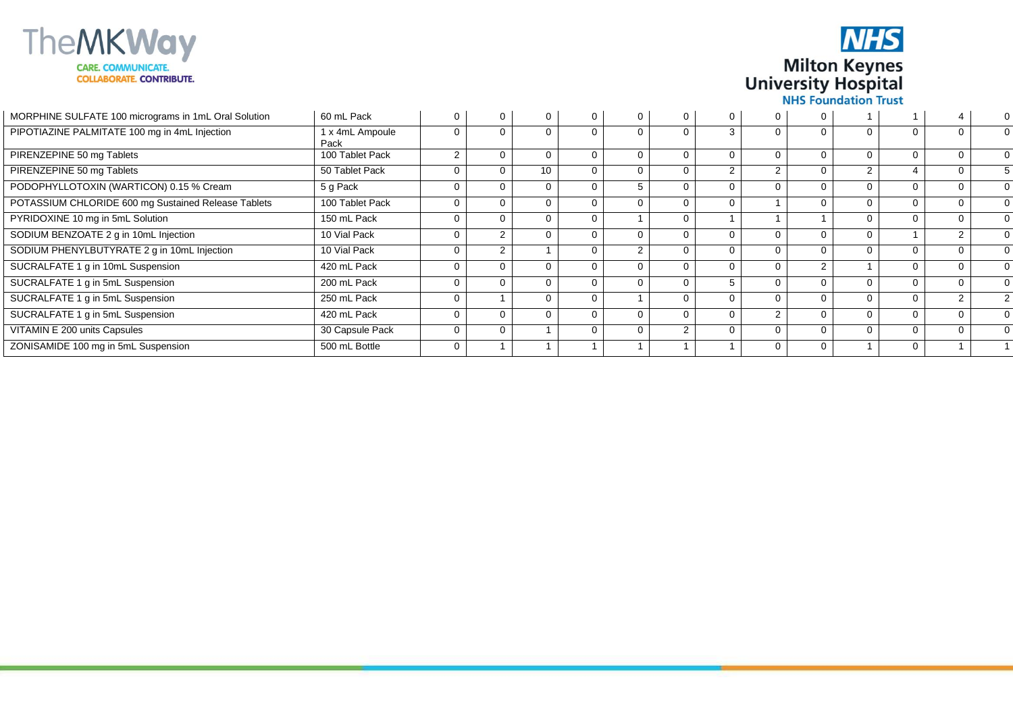

**NHS Milton Keynes University Hospital NHS Foundation Trust** 

MORPHINE SULFATE 100 micrograms in 1mL Oral Solution | 60 mL Pack 0 0 0 0 0 0 0 0 0 1 1 4 0 PIPOTIAZINE PALMITATE 100 mg in 4mL Injection 1 x 4mL Ampoule Pack<br>100 Tablet Pack  $\overline{0}$  $\overline{0}$  $\overline{0}$  $\overline{0}$  $\overline{0}$  $\overline{0}$ 3  $\overline{0}$  $\overline{0}$  $\overline{0}$  $\overline{0}$  $\overline{0}$  $\overline{0}$ PIRENZEPINE 50 mg Tablets 2  $\overline{0}$  $\overline{0}$  $\overline{0}$  $\overline{0}$  $\overline{0}$  $\overline{0}$  $\overline{0}$  $\overline{0}$  $\overline{0}$  $\overline{0}$  $\overline{0}$  $\overline{0}$ PIRENZEPINE 50 mg Tablets 50 mg Tablet Pack  $\overline{0}$  $\overline{0}$  10  $\overline{0}$  $\overline{0}$  $\overline{0}$ 2 2  $\overline{0}$ 2 4  $\overline{0}$ 5 PODOPHYLLOTOXIN (WARTICON) 0.15 % Cream 5 g Pack 0  $\overline{0}$ 0  $\overline{0}$ 5  $\overline{0}$  $\overline{0}$  $\overline{0}$  $\overline{0}$  $\overline{0}$  $\overline{0}$  $\overline{0}$ 0 POTASSIUM CHLORIDE 600 mg Sustained Release Tablets | 100 Tablet Pack  $\overline{0}$  $\overline{0}$  $\overline{0}$  $\overline{0}$  $\overline{0}$  $\overline{0}$  $\overline{0}$ 1  $\overline{0}$  $\overline{0}$  $\overline{0}$  $\overline{0}$  $\overline{0}$ PYRIDOXINE 10 mg in 5mL Solution 150 mL Pack  $\overline{0}$  $\overline{0}$  $\overline{0}$  $\overline{0}$ 1  $\overline{0}$ 1 1 1  $\overline{0}$  $\overline{0}$  $\overline{0}$  $\overline{0}$ SODIUM BENZOATE 2 g in 10mL Injection 10 Vial Pack  $\overline{0}$ 2  $\overline{0}$  $\overline{0}$  $\overline{0}$  $\overline{0}$  $\overline{0}$  $\overline{0}$  $\overline{0}$  $\overline{0}$ 1 2  $\overline{0}$ SODIUM PHENYLBUTYRATE 2 g in 10mL Injection 10 Vial Pack  $\overline{0}$ 2 1  $\overline{0}$ 2  $\overline{0}$  $\overline{0}$  $\overline{0}$  $\overline{0}$  $\overline{0}$  $\overline{0}$  $\overline{0}$  $\overline{0}$ SUCRALFATE 1 g in 10mL Suspension 420 mL Pack  $\overline{0}$  $\overline{0}$  $\overline{0}$  $\overline{0}$  $\overline{0}$  $\overline{0}$  $\overline{0}$  $\overline{0}$ 2 1  $\overline{0}$  $\overline{0}$  $\overline{0}$ SUCRALFATE 1 g in 5mL Suspension 200 mL Pack  $\overline{0}$  $\overline{0}$  $\overline{0}$  $\overline{0}$  $\overline{0}$  $\overline{0}$ 5  $\overline{0}$  $\overline{0}$  $\overline{0}$  $\overline{0}$  $\overline{0}$  $\overline{0}$ SUCRALFATE 1 g in 5mL Suspension 250 mL Pack  $\overline{0}$ 1  $\overline{0}$  $\overline{0}$ 1  $\overline{0}$  $\overline{0}$  $\overline{0}$  $\overline{0}$  $\overline{0}$  $\overline{0}$  $\overline{2}$  $\overline{2}$ SUCRALFATE 1 g in 5mL Suspension 420 mL Pack  $\overline{0}$  $\overline{0}$  $\overline{0}$  $\overline{0}$  $\overline{0}$  $\overline{0}$  $\overline{0}$ 2  $\overline{0}$  $\overline{0}$  $\overline{0}$  $\overline{0}$  $\overline{0}$ VITAMIN E 200 units Capsules 30 Capsule Pack  $\overline{0}$  $\overline{0}$ 1  $\overline{0}$  $\overline{0}$ 2  $\overline{0}$  $\overline{0}$  $\overline{0}$  $\overline{0}$  $\overline{0}$ 0  $\overline{0}$ ZONISAMIDE 100 mg in 5mL Suspension 500 mL Bottle 0 1 1 1 1 1 1 0 0 1 0 1 1